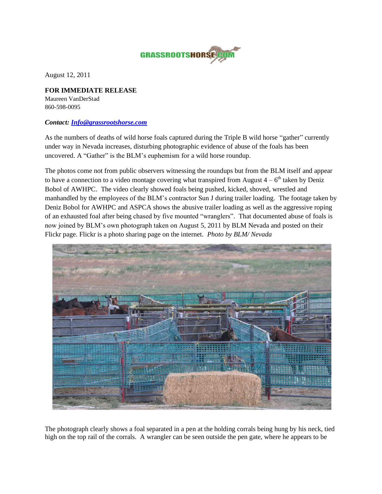

August 12, 2011

## **FOR IMMEDIATE RELEASE** Maureen VanDerStad 860-598-0095

## *Contact: [Info@grassrootshorse.com](mailto:Info@grassrootshorse.com)*

As the numbers of deaths of wild horse foals captured during the Triple B wild horse "gather" currently under way in Nevada increases, disturbing photographic evidence of abuse of the foals has been uncovered. A "Gather" is the BLM's euphemism for a wild horse roundup.

The photos come not from public observers witnessing the roundups but from the BLM itself and appear to have a connection to a video montage covering what transpired from August  $4 - 6<sup>th</sup>$  taken by Deniz Bobol of AWHPC. The video clearly showed foals being pushed, kicked, shoved, wrestled and manhandled by the employees of the BLM's contractor Sun J during trailer loading. The footage taken by Deniz Bobol for AWHPC and ASPCA shows the abusive trailer loading as well as the aggressive roping of an exhausted foal after being chased by five mounted "wranglers". That documented abuse of foals is now joined by BLM's own photograph taken on August 5, 2011 by BLM Nevada and posted on their Flickr page. Flickr is a photo sharing page on the internet. *Photo by BLM/ Nevada* 



The photograph clearly shows a foal separated in a pen at the holding corrals being hung by his neck, tied high on the top rail of the corrals. A wrangler can be seen outside the pen gate, where he appears to be